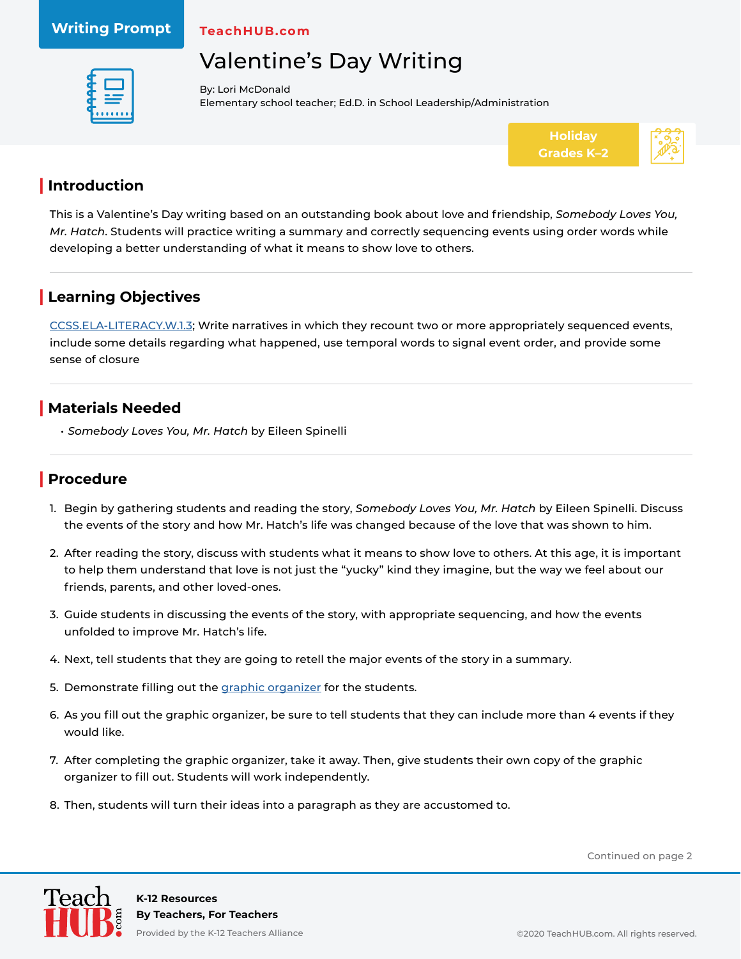#### **Writing Prompt**

**TeachHUB.com**

# Valentine's Day Writing



By: Lori McDonald Elementary school teacher; Ed.D. in School Leadership/Administration



#### **| Introduction**

This is a Valentine's Day writing based on an outstanding book about love and friendship, *Somebody Loves You, Mr. Hatch*. Students will practice writing a summary and correctly sequencing events using order words while developing a better understanding of what it means to show love to others.

## **| Learning Objectives**

[CCSS.ELA-LITERACY.W.1.3](http://www.corestandards.org/ELA-Literacy/W/1/3/); Write narratives in which they recount two or more appropriately sequenced events, include some details regarding what happened, use temporal words to signal event order, and provide some sense of closure

## **| Materials Needed**

*• Somebody Loves You, Mr. Hatch* by Eileen Spinelli

#### **| Procedure**

- 1. Begin by gathering students and reading the story, *Somebody Loves You, Mr. Hatch* by Eileen Spinelli. Discuss the events of the story and how Mr. Hatch's life was changed because of the love that was shown to him.
- 2. After reading the story, discuss with students what it means to show love to others. At this age, it is important to help them understand that love is not just the "yucky" kind they imagine, but the way we feel about our friends, parents, and other loved-ones.
- 3. Guide students in discussing the events of the story, with appropriate sequencing, and how the events unfolded to improve Mr. Hatch's life.
- 4. Next, tell students that they are going to retell the major events of the story in a summary.
- 5. Demonstrate filling out the [graphic organizer](https://www.teachhub.com/wp-content/uploads/2020/08/Valentines-Day-Writing_Graphic-Organizer.pdf) for the students.
- 6. As you fill out the graphic organizer, be sure to tell students that they can include more than 4 events if they would like.
- 7. After completing the graphic organizer, take it away. Then, give students their own copy of the graphic organizer to fill out. Students will work independently.
- 8. Then, students will turn their ideas into a paragraph as they are accustomed to.

Continued on page 2